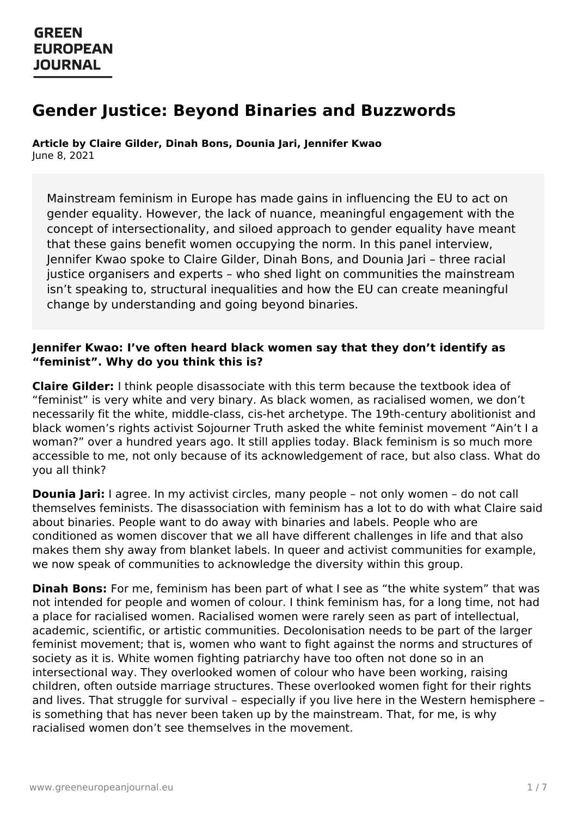# **Gender Justice: Beyond Binaries and Buzzwords**

**Article by Claire Gilder, Dinah Bons, Dounia Jari, Jennifer Kwao** June 8, 2021

Mainstream feminism in Europe has made gains in influencing the EU to act on gender equality. However, the lack of nuance, meaningful engagement with the concept of intersectionality, and siloed approach to gender equality have meant that these gains benefit women occupying the norm. In this panel interview, Jennifer Kwao spoke to Claire Gilder, Dinah Bons, and Dounia Jari – three racial justice organisers and experts – who shed light on communities the mainstream isn't speaking to, structural inequalities and how the EU can create meaningful change by understanding and going beyond binaries.

#### **Jennifer Kwao: I've often heard black women say that they don't identify as "feminist". Why do you think this is?**

**Claire Gilder:** I think people disassociate with this term because the textbook idea of "feminist" is very white and very binary. As black women, as racialised women, we don't necessarily fit the white, middle-class, cis-het archetype. The 19th-century abolitionist and black women's rights activist Sojourner Truth asked the white feminist movement "Ain't I a woman?" over a hundred years ago. It still applies today. Black feminism is so much more accessible to me, not only because of its acknowledgement of race, but also class. What do you all think?

**Dounia Jari:** I agree. In my activist circles, many people – not only women – do not call themselves feminists. The disassociation with feminism has a lot to do with what Claire said about binaries. People want to do away with binaries and labels. People who are conditioned as women discover that we all have different challenges in life and that also makes them shy away from blanket labels. In queer and activist communities for example, we now speak of communities to acknowledge the diversity within this group.

**Dinah Bons:** For me, feminism has been part of what I see as "the white system" that was not intended for people and women of colour. I think feminism has, for a long time, not had a place for racialised women. Racialised women were rarely seen as part of intellectual, academic, scientific, or artistic communities. Decolonisation needs to be part of the larger feminist movement; that is, women who want to fight against the norms and structures of society as it is. White women fighting patriarchy have too often not done so in an intersectional way. They overlooked women of colour who have been working, raising [children,](https://www.greeneuropeanjournal.eu) often outside marriage structures. These overlooked women fight for their rights and lives. That struggle for survival – especially if you live here in the Western hemisphere – is something that has never been taken up by the mainstream. That, for me, is why racialised women don't see themselves in the movement.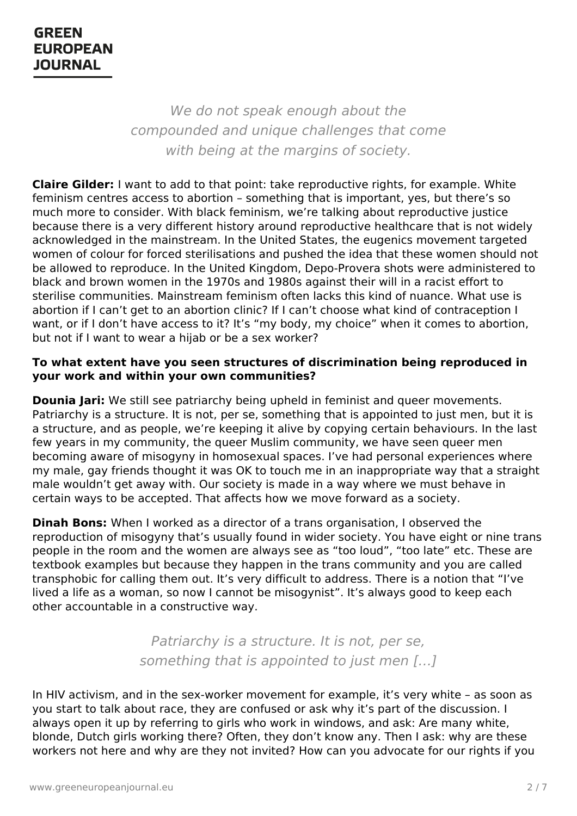We do not speak enough about the compounded and unique challenges that come with being at the margins of society.

**Claire Gilder:** I want to add to that point: take reproductive rights, for example. White feminism centres access to abortion – something that is important, yes, but there's so much more to consider. With black feminism, we're talking about reproductive justice because there is a very different history around reproductive healthcare that is not widely acknowledged in the mainstream. In the United States, the eugenics movement targeted women of colour for forced sterilisations and pushed the idea that these women should not be allowed to reproduce. In the United Kingdom, Depo-Provera shots were administered to black and brown women in the 1970s and 1980s against their will in a racist effort to sterilise communities. Mainstream feminism often lacks this kind of nuance. What use is abortion if I can't get to an abortion clinic? If I can't choose what kind of contraception I want, or if I don't have access to it? It's "my body, my choice" when it comes to abortion, but not if I want to wear a hijab or be a sex worker?

#### **To what extent have you seen structures of discrimination being reproduced in your work and within your own communities?**

**Dounia Jari:** We still see patriarchy being upheld in feminist and queer movements. Patriarchy is a structure. It is not, per se, something that is appointed to just men, but it is a structure, and as people, we're keeping it alive by copying certain behaviours. In the last few years in my community, the queer Muslim community, we have seen queer men becoming aware of misogyny in homosexual spaces. I've had personal experiences where my male, gay friends thought it was OK to touch me in an inappropriate way that a straight male wouldn't get away with. Our society is made in a way where we must behave in certain ways to be accepted. That affects how we move forward as a society.

**Dinah Bons:** When I worked as a director of a trans organisation, I observed the reproduction of misogyny that's usually found in wider society. You have eight or nine trans people in the room and the women are always see as "too loud", "too late" etc. These are textbook examples but because they happen in the trans community and you are called transphobic for calling them out. It's very difficult to address. There is a notion that "I've lived a life as a woman, so now I cannot be misogynist". It's always good to keep each other accountable in a constructive way.

> Patriarchy is a structure. It is not, per se, something that is appointed to just men […]

In HIV [activism,](https://www.greeneuropeanjournal.eu) and in the sex-worker movement for example, it's very white - as soon as you start to talk about race, they are confused or ask why it's part of the discussion. I always open it up by referring to girls who work in windows, and ask: Are many white, blonde, Dutch girls working there? Often, they don't know any. Then I ask: why are these workers not here and why are they not invited? How can you advocate for our rights if you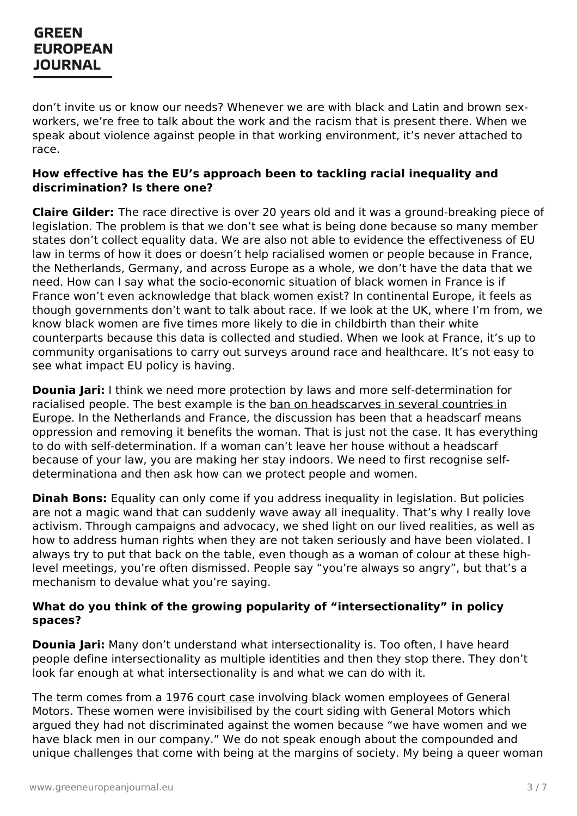don't invite us or know our needs? Whenever we are with black and Latin and brown sexworkers, we're free to talk about the work and the racism that is present there. When we speak about violence against people in that working environment, it's never attached to race.

#### **How effective has the EU's approach been to tackling racial inequality and discrimination? Is there one?**

**Claire Gilder:** The race directive is over 20 years old and it was a ground-breaking piece of legislation. The problem is that we don't see what is being done because so many member states don't collect equality data. We are also not able to evidence the effectiveness of EU law in terms of how it does or doesn't help racialised women or people because in France, the Netherlands, Germany, and across Europe as a whole, we don't have the data that we need. How can I say what the socio-economic situation of black women in France is if France won't even acknowledge that black women exist? In continental Europe, it feels as though governments don't want to talk about race. If we look at the UK, where I'm from, we know black women are five times more likely to die in childbirth than their white counterparts because this data is collected and studied. When we look at France, it's up to community organisations to carry out surveys around race and healthcare. It's not easy to see what impact EU policy is having.

**Dounia Jari:** I think we need more protection by laws and more self-determination for racialised people. The best example is the ban on [headscarves](https://www.justiceinitiative.org/uploads/47ccdb53-649b-4cce-aaba-8bc3628dad63/restrictions-on-muslim-women) in several countries in Europe. In the Netherlands and France, the discussion has been that a headscarf means oppression and removing it benefits the woman. That is just not the case. It has everything to do with self-determination. If a woman can't leave her house without a headscarf because of your law, you are making her stay indoors. We need to first recognise selfdeterminationa and then ask how can we protect people and women.

**Dinah Bons:** Equality can only come if you address inequality in legislation. But policies are not a magic wand that can suddenly wave away all inequality. That's why I really love activism. Through campaigns and advocacy, we shed light on our lived realities, as well as how to address human rights when they are not taken seriously and have been violated. I always try to put that back on the table, even though as a woman of colour at these highlevel meetings, you're often dismissed. People say "you're always so angry", but that's a mechanism to devalue what you're saying.

#### **What do you think of the growing popularity of "intersectionality" in policy spaces?**

**Dounia Jari:** Many don't understand what intersectionality is. Too often, I have heard people define intersectionality as multiple identities and then they stop there. They don't look far enough at what intersectionality is and what we can do with it.

The term comes from a 1976 [court](https://www.vox.com/the-highlight/2019/5/20/18542843/intersectionality-conservatism-law-race-gender-discrimination) case involving black women employees of General Motors. These women were invisibilised by the court siding with General Motors which argued they had not discriminated against the women because "we have women and we have black men in our company." We do not speak enough about the compounded and unique challenges that come with being at the margins of society. My being a queer woman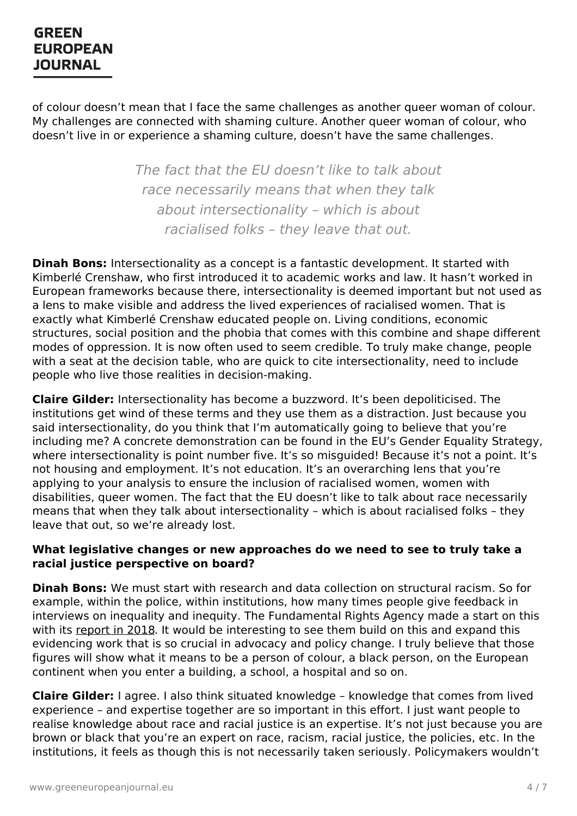of colour doesn't mean that I face the same challenges as another queer woman of colour. My challenges are connected with shaming culture. Another queer woman of colour, who doesn't live in or experience a shaming culture, doesn't have the same challenges.

> The fact that the EU doesn't like to talk about race necessarily means that when they talk about intersectionality – which is about racialised folks – they leave that out.

**Dinah Bons:** Intersectionality as a concept is a fantastic development. It started with Kimberlé Crenshaw, who first introduced it to academic works and law. It hasn't worked in European frameworks because there, intersectionality is deemed important but not used as a lens to make visible and address the lived experiences of racialised women. That is exactly what Kimberlé Crenshaw educated people on. Living conditions, economic structures, social position and the phobia that comes with this combine and shape different modes of oppression. It is now often used to seem credible. To truly make change, people with a seat at the decision table, who are quick to cite intersectionality, need to include people who live those realities in decision-making.

**Claire Gilder:** Intersectionality has become a buzzword. It's been depoliticised. The institutions get wind of these terms and they use them as a distraction. Just because you said intersectionality, do you think that I'm automatically going to believe that you're including me? A concrete demonstration can be found in the EU's Gender Equality Strategy, where intersectionality is point number five. It's so misquided! Because it's not a point. It's not housing and employment. It's not education. It's an overarching lens that you're applying to your analysis to ensure the inclusion of racialised women, women with disabilities, queer women. The fact that the EU doesn't like to talk about race necessarily means that when they talk about intersectionality – which is about racialised folks – they leave that out, so we're already lost.

#### **What legislative changes or new approaches do we need to see to truly take a racial justice perspective on board?**

**Dinah Bons:** We must start with research and data collection on structural racism. So for example, within the police, within institutions, how many times people give feedback in interviews on inequality and inequity. The Fundamental Rights Agency made a start on this with its [report](https://fra.europa.eu/sites/default/files/fra_uploads/fra-2018-being-black-in-the-eu_en.pdf) in 2018. It would be interesting to see them build on this and expand this evidencing work that is so crucial in advocacy and policy change. I truly believe that those figures will show what it means to be a person of colour, a black person, on the European continent when you enter a building, a school, a hospital and so on.

**Claire Gilder:** I agree. I also think situated knowledge – knowledge that comes from lived experience – and expertise together are so important in this effort. I just want people to realise knowledge about race and racial justice is an expertise. It's not just because you are brown or black that you're an expert on race, racism, racial justice, the policies, etc. In the institutions, it feels as though this is not necessarily taken seriously. Policymakers wouldn't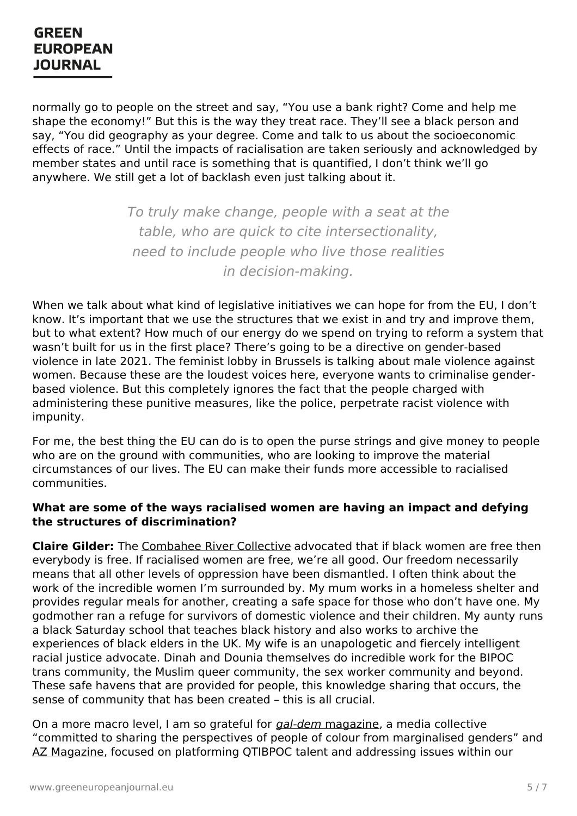normally go to people on the street and say, "You use a bank right? Come and help me shape the economy!" But this is the way they treat race. They'll see a black person and say, "You did geography as your degree. Come and talk to us about the socioeconomic effects of race." Until the impacts of racialisation are taken seriously and acknowledged by member states and until race is something that is quantified, I don't think we'll go anywhere. We still get a lot of backlash even just talking about it.

> To truly make change, people with a seat at the table, who are quick to cite intersectionality, need to include people who live those realities in decision-making.

When we talk about what kind of legislative initiatives we can hope for from the EU, I don't know. It's important that we use the structures that we exist in and try and improve them, but to what extent? How much of our energy do we spend on trying to reform a system that wasn't built for us in the first place? There's going to be a directive on gender-based violence in late 2021. The feminist lobby in Brussels is talking about male violence against women. Because these are the loudest voices here, everyone wants to criminalise genderbased violence. But this completely ignores the fact that the people charged with administering these punitive measures, like the police, perpetrate racist violence with impunity.

For me, the best thing the EU can do is to open the purse strings and give money to people who are on the ground with communities, who are looking to improve the material circumstances of our lives. The EU can make their funds more accessible to racialised communities.

#### **What are some of the ways racialised women are having an impact and defying the structures of discrimination?**

**Claire Gilder:** The [Combahee](https://www.newyorker.com/news/our-columnists/until-black-women-are-free-none-of-us-will-be-free) River Collective advocated that if black women are free then everybody is free. If racialised women are free, we're all good. Our freedom necessarily means that all other levels of oppression have been dismantled. I often think about the work of the incredible women I'm surrounded by. My mum works in a homeless shelter and provides regular meals for another, creating a safe space for those who don't have one. My godmother ran a refuge for survivors of domestic violence and their children. My aunty runs a black Saturday school that teaches black history and also works to archive the experiences of black elders in the UK. My wife is an unapologetic and fiercely intelligent racial justice advocate. Dinah and Dounia themselves do incredible work for the BIPOC trans community, the Muslim queer community, the sex worker community and beyond. These safe [havens](https://www.greeneuropeanjournal.eu) that are provided for people, this knowledge sharing that occurs, the sense of community that has been created – this is all crucial.

On a more macro level, I am so grateful for [gal-dem](https://gal-dem.com/) [magazine](https://gal-dem.com/), a media collective "committed to sharing the perspectives of people of colour from marginalised genders" and AZ [Magazine](https://azmagazine.co.uk/), focused on platforming QTIBPOC talent and addressing issues within our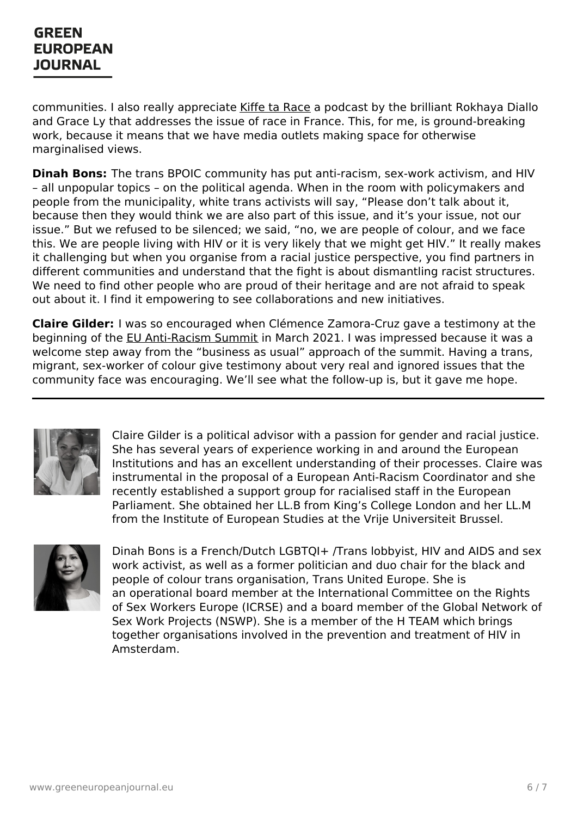communities. I also really appreciate Kiffe ta [Race](https://www.binge.audio/podcast/kiffetarace%2522%20/h%20%20HYPERLINK%20%2522https://www.binge.audio/podcast/kiffetarace%2522%20/) a podcast by the brilliant Rokhaya Diallo and Grace Ly that addresses the issue of race in France. This, for me, is ground-breaking work, because it means that we have media outlets making space for otherwise marginalised views.

**Dinah Bons:** The trans BPOIC community has put anti-racism, sex-work activism, and HIV – all unpopular topics – on the political agenda. When in the room with policymakers and people from the municipality, white trans activists will say, "Please don't talk about it, because then they would think we are also part of this issue, and it's your issue, not our issue." But we refused to be silenced; we said, "no, we are people of colour, and we face this. We are people living with HIV or it is very likely that we might get HIV." It really makes it challenging but when you organise from a racial justice perspective, you find partners in different communities and understand that the fight is about dismantling racist structures. We need to find other people who are proud of their heritage and are not afraid to speak out about it. I find it empowering to see collaborations and new initiatives.

**Claire Gilder:** I was so encouraged when Clémence Zamora-Cruz gave a testimony at the beginning of the EU [Anti-Racism](https://www.antiracism-eusummit2021.eu/recording/) Summit in March 2021. I was impressed because it was a welcome step away from the "business as usual" approach of the summit. Having a trans, migrant, sex-worker of colour give testimony about very real and ignored issues that the community face was encouraging. We'll see what the follow-up is, but it gave me hope.



Claire Gilder is a political advisor with a passion for gender and racial justice. She has several years of experience working in and around the European Institutions and has an excellent understanding of their processes. Claire was instrumental in the proposal of a European Anti-Racism Coordinator and she recently established a support group for racialised staff in the European Parliament. She obtained her LL.B from King's College London and her LL.M from the Institute of European Studies at the Vrije Universiteit Brussel.



Dinah Bons is a French/Dutch LGBTQI+ /Trans lobbyist, HIV and AIDS and sex work activist, as well as a former politician and duo chair for the black and people of colour trans organisation, Trans United Europe. She is an operational board member at the International Committee on the Rights of Sex Workers Europe (ICRSE) and a board member of the Global Network of Sex Work Projects (NSWP). She is a member of the H TEAM which brings together organisations involved in the prevention and treatment of HIV in Amsterdam.